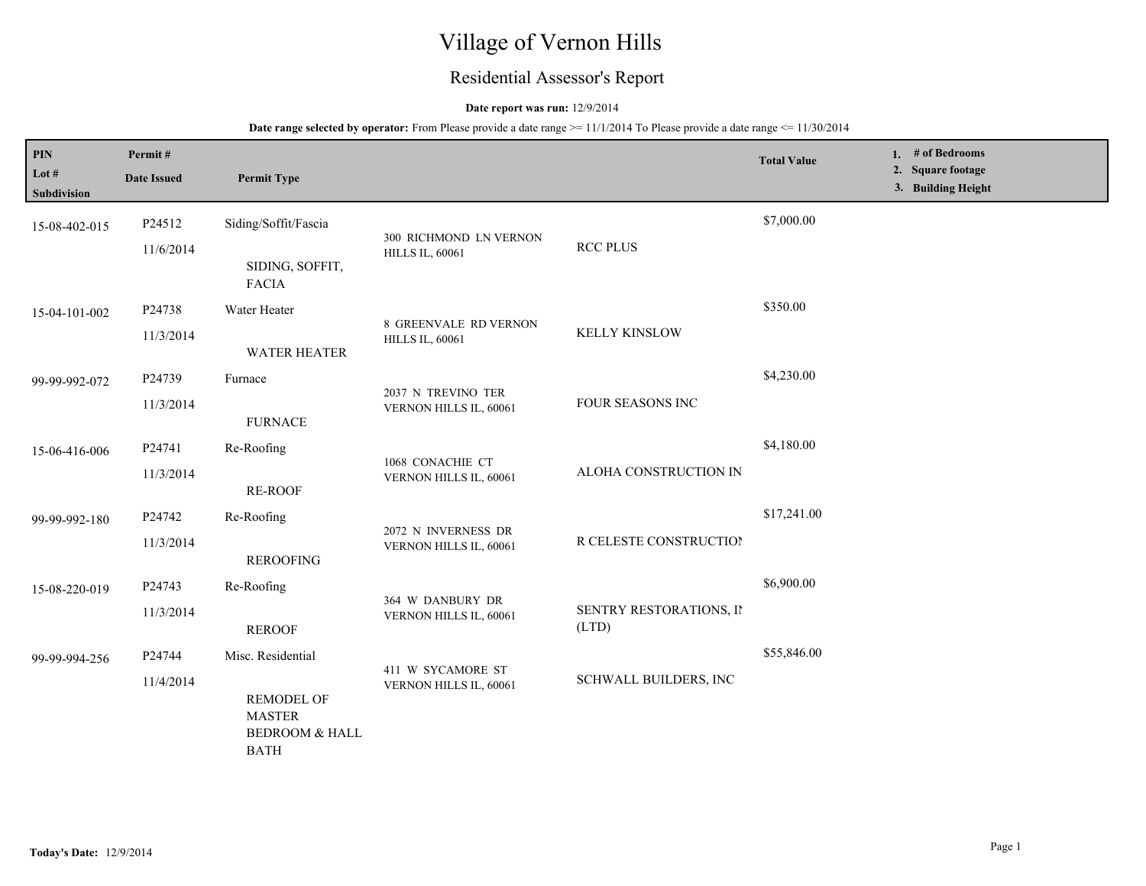# Village of Vernon Hills

## Residential Assessor's Report

## **Date report was run:** 12/9/2014

| PIN<br>Lot $#$<br>Subdivision | Permit#<br><b>Date Issued</b> | <b>Permit Type</b>                                                                       |                                                        |                                  | <b>Total Value</b> | 1. # of Bedrooms<br>2. Square footage<br>3. Building Height |
|-------------------------------|-------------------------------|------------------------------------------------------------------------------------------|--------------------------------------------------------|----------------------------------|--------------------|-------------------------------------------------------------|
| 15-08-402-015                 | P24512<br>11/6/2014           | Siding/Soffit/Fascia<br>SIDING, SOFFIT,                                                  | 300 RICHMOND LN VERNON<br><b>HILLS IL, 60061</b>       | <b>RCC PLUS</b>                  | \$7,000.00         |                                                             |
| 15-04-101-002                 | P24738<br>11/3/2014           | <b>FACIA</b><br>Water Heater<br><b>WATER HEATER</b>                                      | <b>8 GREENVALE RD VERNON</b><br><b>HILLS IL, 60061</b> | <b>KELLY KINSLOW</b>             | \$350.00           |                                                             |
| 99-99-992-072                 | P24739<br>11/3/2014           | Furnace<br><b>FURNACE</b>                                                                | 2037 N TREVINO TER<br>VERNON HILLS IL, 60061           | FOUR SEASONS INC                 | \$4,230.00         |                                                             |
| 15-06-416-006                 | P24741<br>11/3/2014           | Re-Roofing<br><b>RE-ROOF</b>                                                             | 1068 CONACHIE CT<br>VERNON HILLS IL, 60061             | ALOHA CONSTRUCTION IN            | \$4,180.00         |                                                             |
| 99-99-992-180                 | P24742<br>11/3/2014           | Re-Roofing<br><b>REROOFING</b>                                                           | 2072 N INVERNESS DR<br>VERNON HILLS IL, 60061          | R CELESTE CONSTRUCTION           | \$17,241.00        |                                                             |
| 15-08-220-019                 | P24743<br>11/3/2014           | Re-Roofing<br><b>REROOF</b>                                                              | 364 W DANBURY DR<br>VERNON HILLS IL, 60061             | SENTRY RESTORATIONS, II<br>(LTD) | \$6,900.00         |                                                             |
| 99-99-994-256                 | P24744<br>11/4/2014           | Misc. Residential<br><b>REMODEL OF</b><br><b>MASTER</b><br>BEDROOM & HALL<br><b>BATH</b> | 411 W SYCAMORE ST<br>VERNON HILLS IL, 60061            | <b>SCHWALL BUILDERS, INC</b>     | \$55,846.00        |                                                             |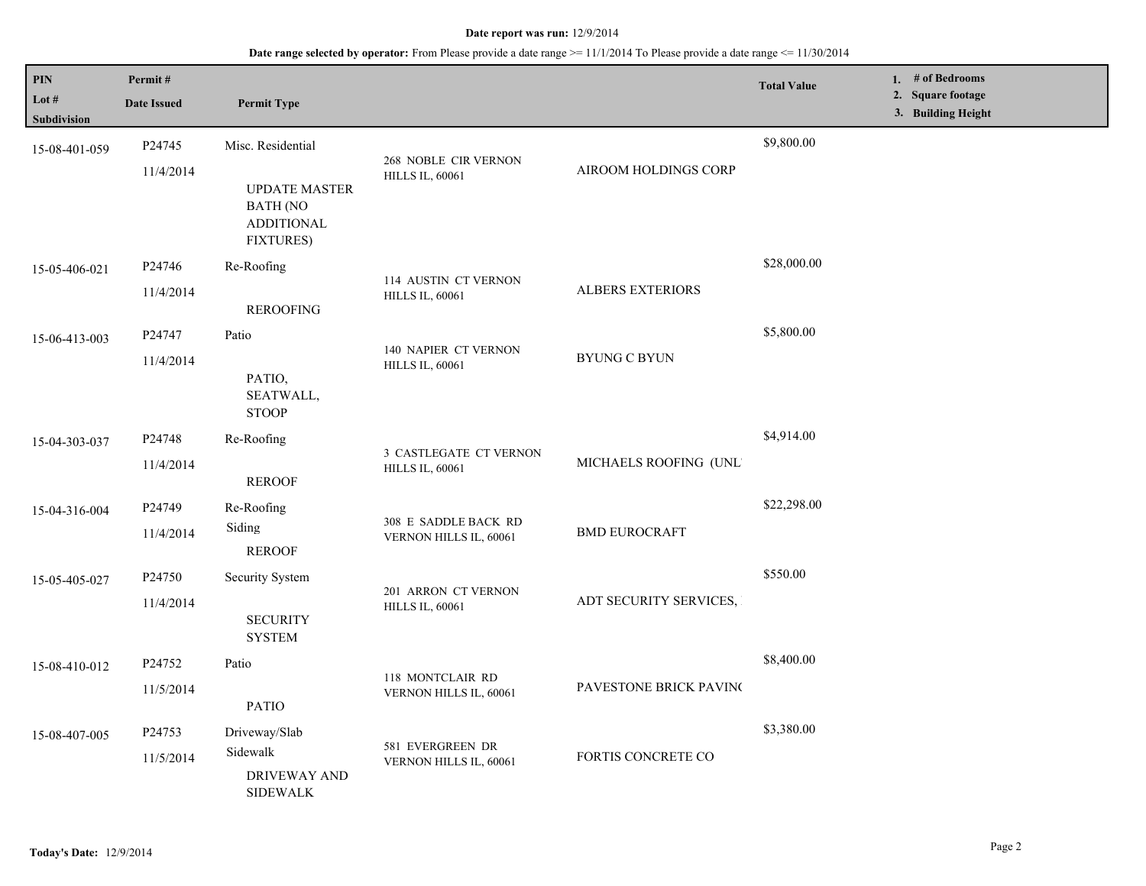| PIN                  | Permit#            |                                                                                  |                                                  |                         | <b>Total Value</b> | 1. # of Bedrooms                        |  |
|----------------------|--------------------|----------------------------------------------------------------------------------|--------------------------------------------------|-------------------------|--------------------|-----------------------------------------|--|
| Lot #<br>Subdivision | <b>Date Issued</b> | <b>Permit Type</b>                                                               |                                                  |                         |                    | 2. Square footage<br>3. Building Height |  |
| 15-08-401-059        | P24745             | Misc. Residential                                                                |                                                  |                         | \$9,800.00         |                                         |  |
|                      | 11/4/2014          | <b>UPDATE MASTER</b><br><b>BATH (NO</b><br><b>ADDITIONAL</b><br><b>FIXTURES)</b> | 268 NOBLE CIR VERNON<br><b>HILLS IL, 60061</b>   | AIROOM HOLDINGS CORP    |                    |                                         |  |
| 15-05-406-021        | P24746             | Re-Roofing                                                                       |                                                  |                         | \$28,000.00        |                                         |  |
|                      | 11/4/2014          | <b>REROOFING</b>                                                                 | 114 AUSTIN CT VERNON<br><b>HILLS IL, 60061</b>   | <b>ALBERS EXTERIORS</b> |                    |                                         |  |
| 15-06-413-003        | P24747             | Patio                                                                            | 140 NAPIER CT VERNON                             |                         | \$5,800.00         |                                         |  |
|                      | 11/4/2014          | PATIO,<br>SEATWALL,<br><b>STOOP</b>                                              | <b>HILLS IL, 60061</b>                           | <b>BYUNG C BYUN</b>     |                    |                                         |  |
| 15-04-303-037        | P <sub>24748</sub> | Re-Roofing                                                                       |                                                  |                         | \$4,914.00         |                                         |  |
|                      | 11/4/2014          | <b>REROOF</b>                                                                    | 3 CASTLEGATE CT VERNON<br><b>HILLS IL, 60061</b> | MICHAELS ROOFING (UNL'  |                    |                                         |  |
| 15-04-316-004        | P24749             | Re-Roofing                                                                       | 308 E SADDLE BACK RD                             | <b>BMD EUROCRAFT</b>    | \$22,298.00        |                                         |  |
|                      | 11/4/2014          | Siding<br><b>REROOF</b>                                                          | VERNON HILLS IL, 60061                           |                         |                    |                                         |  |
| 15-05-405-027        | P24750             | Security System                                                                  | 201 ARRON CT VERNON                              |                         | \$550.00           |                                         |  |
|                      | 11/4/2014          | <b>SECURITY</b><br><b>SYSTEM</b>                                                 | <b>HILLS IL, 60061</b>                           | ADT SECURITY SERVICES,  |                    |                                         |  |
| 15-08-410-012        | P24752             | Patio                                                                            |                                                  |                         | \$8,400.00         |                                         |  |
|                      | 11/5/2014          | <b>PATIO</b>                                                                     | 118 MONTCLAIR RD<br>VERNON HILLS IL, 60061       | PAVESTONE BRICK PAVINC  |                    |                                         |  |
| 15-08-407-005        | P24753             | Driveway/Slab                                                                    |                                                  |                         | \$3,380.00         |                                         |  |
|                      | 11/5/2014          | Sidewalk<br>DRIVEWAY AND<br><b>SIDEWALK</b>                                      | 581 EVERGREEN DR<br>VERNON HILLS IL, 60061       | FORTIS CONCRETE CO      |                    |                                         |  |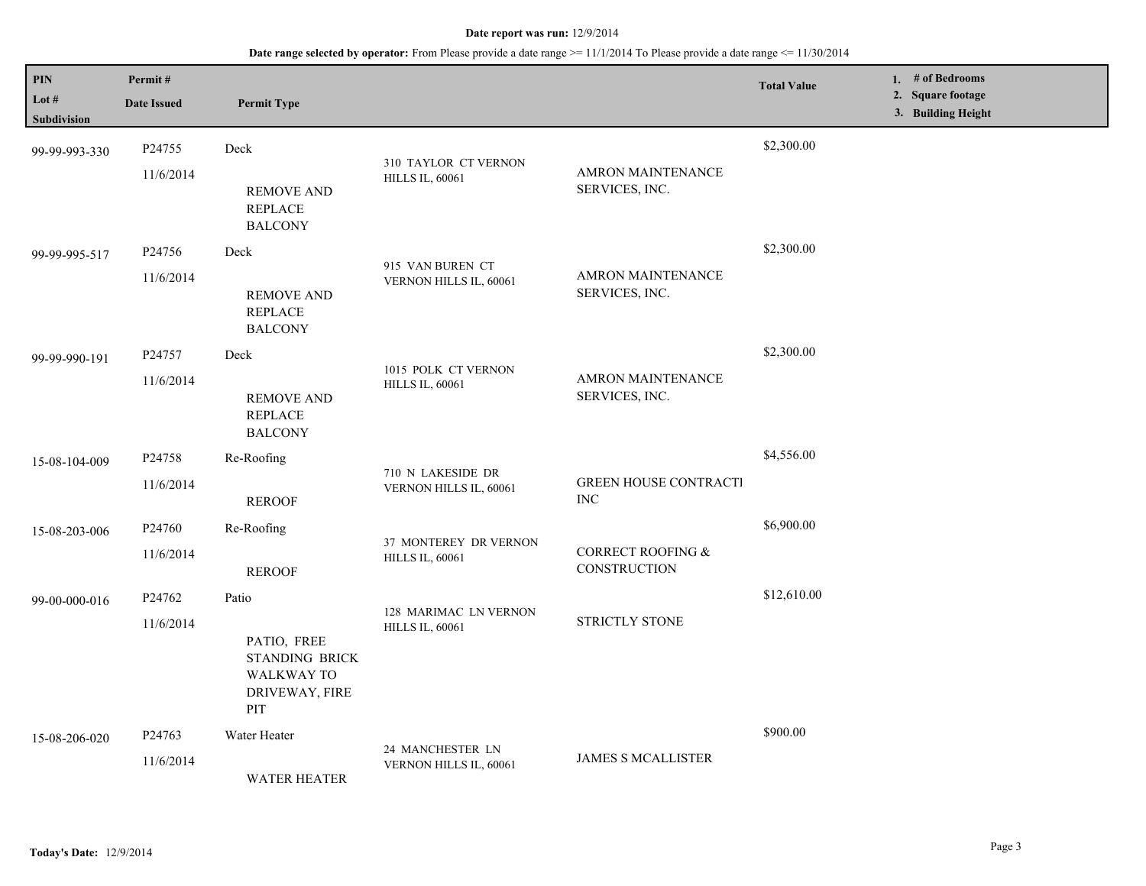| PIN<br>Lot #<br>Subdivision | Permit#<br><b>Date Issued</b>   | <b>Permit Type</b>                                                                          |                                                 |                                            | <b>Total Value</b> | 1. # of Bedrooms<br>2. Square footage<br>3. Building Height |
|-----------------------------|---------------------------------|---------------------------------------------------------------------------------------------|-------------------------------------------------|--------------------------------------------|--------------------|-------------------------------------------------------------|
| 99-99-993-330               | P <sub>24755</sub><br>11/6/2014 | Deck<br><b>REMOVE AND</b><br><b>REPLACE</b><br><b>BALCONY</b>                               | 310 TAYLOR CT VERNON<br><b>HILLS IL, 60061</b>  | <b>AMRON MAINTENANCE</b><br>SERVICES, INC. | \$2,300.00         |                                                             |
| 99-99-995-517               | P24756<br>11/6/2014             | Deck<br><b>REMOVE AND</b><br><b>REPLACE</b><br><b>BALCONY</b>                               | 915 VAN BUREN CT<br>VERNON HILLS IL, 60061      | <b>AMRON MAINTENANCE</b><br>SERVICES, INC. | \$2,300.00         |                                                             |
| 99-99-990-191               | P24757<br>11/6/2014             | Deck<br><b>REMOVE AND</b><br><b>REPLACE</b><br><b>BALCONY</b>                               | 1015 POLK CT VERNON<br><b>HILLS IL, 60061</b>   | <b>AMRON MAINTENANCE</b><br>SERVICES, INC. | \$2,300.00         |                                                             |
| 15-08-104-009               | P24758<br>11/6/2014             | Re-Roofing<br><b>REROOF</b>                                                                 | 710 N LAKESIDE DR<br>VERNON HILLS IL, 60061     | <b>GREEN HOUSE CONTRACTI</b><br><b>INC</b> | \$4,556.00         |                                                             |
| 15-08-203-006               | P24760<br>11/6/2014             | Re-Roofing<br><b>REROOF</b>                                                                 | 37 MONTEREY DR VERNON<br><b>HILLS IL, 60061</b> | CORRECT ROOFING &<br>CONSTRUCTION          | \$6,900.00         |                                                             |
| 99-00-000-016               | P <sub>24762</sub><br>11/6/2014 | Patio<br>PATIO, FREE<br><b>STANDING BRICK</b><br><b>WALKWAY TO</b><br>DRIVEWAY, FIRE<br>PIT | 128 MARIMAC LN VERNON<br><b>HILLS IL, 60061</b> | STRICTLY STONE                             | \$12,610.00        |                                                             |
| 15-08-206-020               | P24763<br>11/6/2014             | Water Heater<br><b>WATER HEATER</b>                                                         | 24 MANCHESTER LN<br>VERNON HILLS IL, 60061      | <b>JAMES S MCALLISTER</b>                  | \$900.00           |                                                             |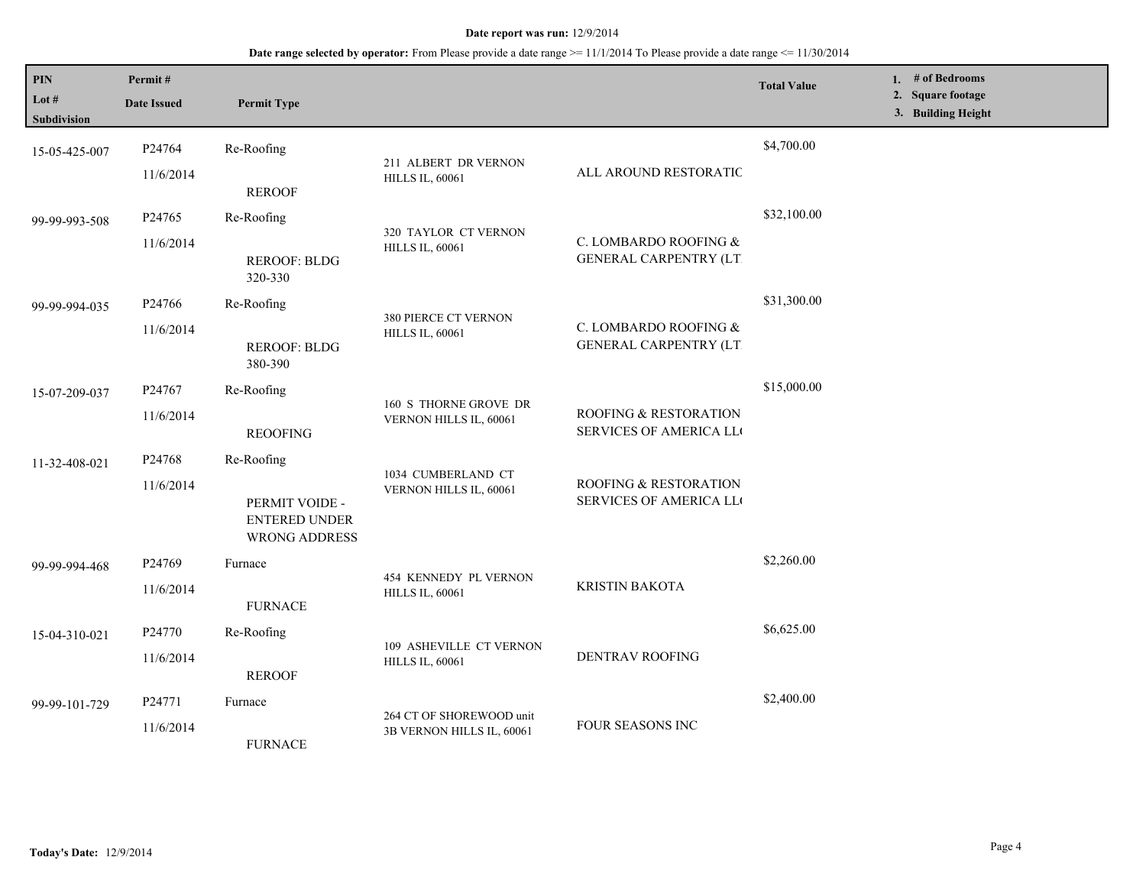| PIN<br>Lot #<br><b>Subdivision</b> | Permit#<br><b>Date Issued</b>   | <b>Permit Type</b>                                                    |                                                       |                                                        | <b>Total Value</b> | 1. # of Bedrooms<br>2. Square footage<br>3. Building Height |
|------------------------------------|---------------------------------|-----------------------------------------------------------------------|-------------------------------------------------------|--------------------------------------------------------|--------------------|-------------------------------------------------------------|
| 15-05-425-007                      | P24764<br>11/6/2014             | Re-Roofing<br><b>REROOF</b>                                           | 211 ALBERT DR VERNON<br><b>HILLS IL, 60061</b>        | ALL AROUND RESTORATIC                                  | \$4,700.00         |                                                             |
| 99-99-993-508                      | P <sub>24765</sub><br>11/6/2014 | Re-Roofing<br><b>REROOF: BLDG</b><br>320-330                          | 320 TAYLOR CT VERNON<br><b>HILLS IL, 60061</b>        | C. LOMBARDO ROOFING &<br><b>GENERAL CARPENTRY (LT)</b> | \$32,100.00        |                                                             |
| 99-99-994-035                      | P24766<br>11/6/2014             | Re-Roofing<br><b>REROOF: BLDG</b><br>380-390                          | 380 PIERCE CT VERNON<br><b>HILLS IL, 60061</b>        | C. LOMBARDO ROOFING &<br><b>GENERAL CARPENTRY (LT)</b> | \$31,300.00        |                                                             |
| 15-07-209-037                      | P24767<br>11/6/2014             | Re-Roofing<br><b>REOOFING</b>                                         | 160 S THORNE GROVE DR<br>VERNON HILLS IL, 60061       | ROOFING & RESTORATION<br>SERVICES OF AMERICA LL        | \$15,000.00        |                                                             |
| 11-32-408-021                      | P24768<br>11/6/2014             | Re-Roofing<br>PERMIT VOIDE -<br>ENTERED UNDER<br><b>WRONG ADDRESS</b> | 1034 CUMBERLAND CT<br>VERNON HILLS IL, 60061          | ROOFING & RESTORATION<br>SERVICES OF AMERICA LL        |                    |                                                             |
| 99-99-994-468                      | P24769<br>11/6/2014             | Furnace<br><b>FURNACE</b>                                             | 454 KENNEDY PL VERNON<br><b>HILLS IL, 60061</b>       | KRISTIN BAKOTA                                         | \$2,260.00         |                                                             |
| 15-04-310-021                      | P24770<br>11/6/2014             | Re-Roofing<br><b>REROOF</b>                                           | 109 ASHEVILLE CT VERNON<br><b>HILLS IL, 60061</b>     | <b>DENTRAV ROOFING</b>                                 | \$6,625.00         |                                                             |
| 99-99-101-729                      | P24771<br>11/6/2014             | Furnace<br><b>FURNACE</b>                                             | 264 CT OF SHOREWOOD unit<br>3B VERNON HILLS IL, 60061 | FOUR SEASONS INC                                       | \$2,400.00         |                                                             |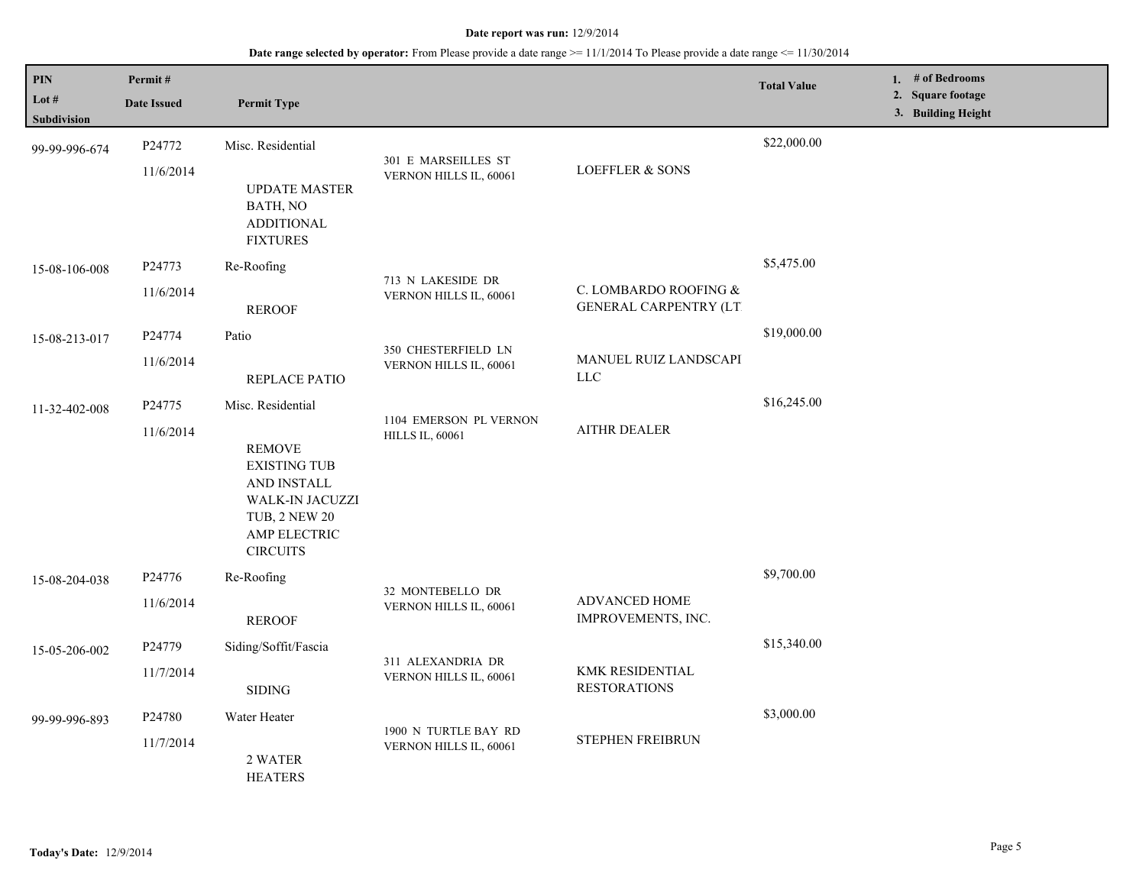| PIN<br>Lot #<br>Subdivision | Permit#<br><b>Date Issued</b> | <b>Permit Type</b>                                                                                                                                     |                                                  |                                                        | <b>Total Value</b> | 1. # of Bedrooms<br>2. Square footage<br>3. Building Height |
|-----------------------------|-------------------------------|--------------------------------------------------------------------------------------------------------------------------------------------------------|--------------------------------------------------|--------------------------------------------------------|--------------------|-------------------------------------------------------------|
| 99-99-996-674               | P24772<br>11/6/2014           | Misc. Residential<br><b>UPDATE MASTER</b><br>BATH, NO<br><b>ADDITIONAL</b><br><b>FIXTURES</b>                                                          | 301 E MARSEILLES ST<br>VERNON HILLS IL, 60061    | <b>LOEFFLER &amp; SONS</b>                             | \$22,000.00        |                                                             |
| 15-08-106-008               | P24773<br>11/6/2014           | Re-Roofing<br><b>REROOF</b>                                                                                                                            | 713 N LAKESIDE DR<br>VERNON HILLS IL, 60061      | C. LOMBARDO ROOFING &<br><b>GENERAL CARPENTRY (LT)</b> | \$5,475.00         |                                                             |
| 15-08-213-017               | P24774<br>11/6/2014           | Patio<br>REPLACE PATIO                                                                                                                                 | 350 CHESTERFIELD LN<br>VERNON HILLS IL, 60061    | MANUEL RUIZ LANDSCAPI<br><b>LLC</b>                    | \$19,000.00        |                                                             |
| 11-32-402-008               | P24775<br>11/6/2014           | Misc. Residential<br><b>REMOVE</b><br><b>EXISTING TUB</b><br>AND INSTALL<br>WALK-IN JACUZZI<br><b>TUB, 2 NEW 20</b><br>AMP ELECTRIC<br><b>CIRCUITS</b> | 1104 EMERSON PL VERNON<br><b>HILLS IL, 60061</b> | <b>AITHR DEALER</b>                                    | \$16,245.00        |                                                             |
| 15-08-204-038               | P24776<br>11/6/2014           | Re-Roofing<br><b>REROOF</b>                                                                                                                            | 32 MONTEBELLO DR<br>VERNON HILLS IL, 60061       | ADVANCED HOME<br>IMPROVEMENTS, INC.                    | \$9,700.00         |                                                             |
| 15-05-206-002               | P24779<br>11/7/2014           | Siding/Soffit/Fascia<br><b>SIDING</b>                                                                                                                  | 311 ALEXANDRIA DR<br>VERNON HILLS IL, 60061      | KMK RESIDENTIAL<br><b>RESTORATIONS</b>                 | \$15,340.00        |                                                             |
| 99-99-996-893               | P24780<br>11/7/2014           | Water Heater<br>2 WATER<br><b>HEATERS</b>                                                                                                              | 1900 N TURTLE BAY RD<br>VERNON HILLS IL, 60061   | STEPHEN FREIBRUN                                       | \$3,000.00         |                                                             |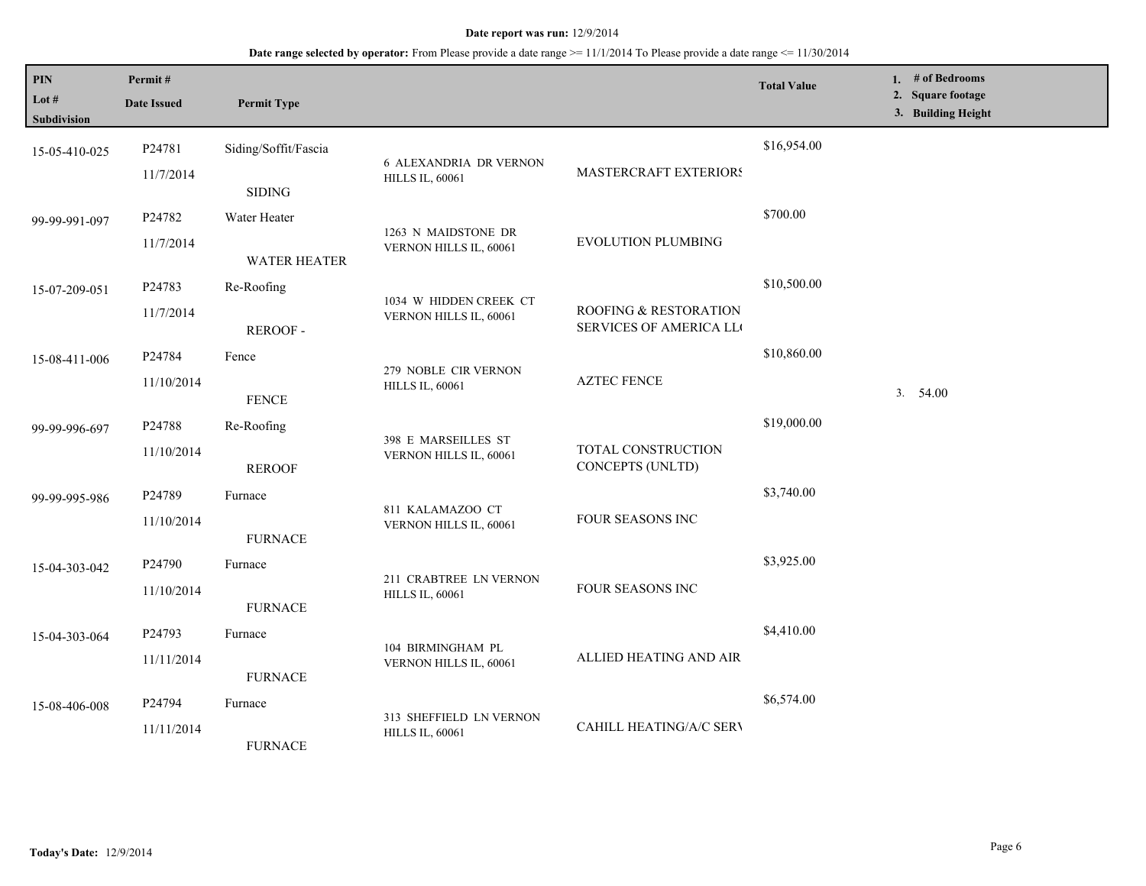| PIN<br>Lot #<br>Subdivision | Permit#<br><b>Date Issued</b>    | <b>Permit Type</b>                    |                                                         |                                                 | <b>Total Value</b> | 1. # of Bedrooms<br>2. Square footage<br>3. Building Height |
|-----------------------------|----------------------------------|---------------------------------------|---------------------------------------------------------|-------------------------------------------------|--------------------|-------------------------------------------------------------|
| 15-05-410-025               | P24781<br>11/7/2014              | Siding/Soffit/Fascia<br><b>SIDING</b> | <b>6 ALEXANDRIA DR VERNON</b><br><b>HILLS IL, 60061</b> | MASTERCRAFT EXTERIORS                           | \$16,954.00        |                                                             |
| 99-99-991-097               | P24782<br>11/7/2014              | Water Heater<br><b>WATER HEATER</b>   | 1263 N MAIDSTONE DR<br>VERNON HILLS IL, 60061           | <b>EVOLUTION PLUMBING</b>                       | \$700.00           |                                                             |
| 15-07-209-051               | P24783<br>11/7/2014              | Re-Roofing<br><b>REROOF -</b>         | 1034 W HIDDEN CREEK CT<br>VERNON HILLS IL, 60061        | ROOFING & RESTORATION<br>SERVICES OF AMERICA LL | \$10,500.00        |                                                             |
| 15-08-411-006               | P24784<br>11/10/2014             | Fence<br><b>FENCE</b>                 | 279 NOBLE CIR VERNON<br><b>HILLS IL, 60061</b>          | <b>AZTEC FENCE</b>                              | \$10,860.00        | 3.54.00                                                     |
| 99-99-996-697               | P24788<br>11/10/2014             | Re-Roofing<br><b>REROOF</b>           | 398 E MARSEILLES ST<br>VERNON HILLS IL, 60061           | TOTAL CONSTRUCTION<br>CONCEPTS (UNLTD)          | \$19,000.00        |                                                             |
| 99-99-995-986               | P24789<br>11/10/2014             | Furnace<br><b>FURNACE</b>             | 811 KALAMAZOO CT<br>VERNON HILLS IL, 60061              | FOUR SEASONS INC                                | \$3,740.00         |                                                             |
| 15-04-303-042               | P24790<br>11/10/2014             | Furnace<br><b>FURNACE</b>             | 211 CRABTREE LN VERNON<br><b>HILLS IL, 60061</b>        | FOUR SEASONS INC                                | \$3,925.00         |                                                             |
| 15-04-303-064               | P24793<br>11/11/2014             | Furnace<br><b>FURNACE</b>             | 104 BIRMINGHAM PL<br>VERNON HILLS IL, 60061             | ALLIED HEATING AND AIR                          | \$4,410.00         |                                                             |
| 15-08-406-008               | P <sub>24794</sub><br>11/11/2014 | Furnace<br><b>FURNACE</b>             | 313 SHEFFIELD LN VERNON<br><b>HILLS IL, 60061</b>       | CAHILL HEATING/A/C SERV                         | \$6,574.00         |                                                             |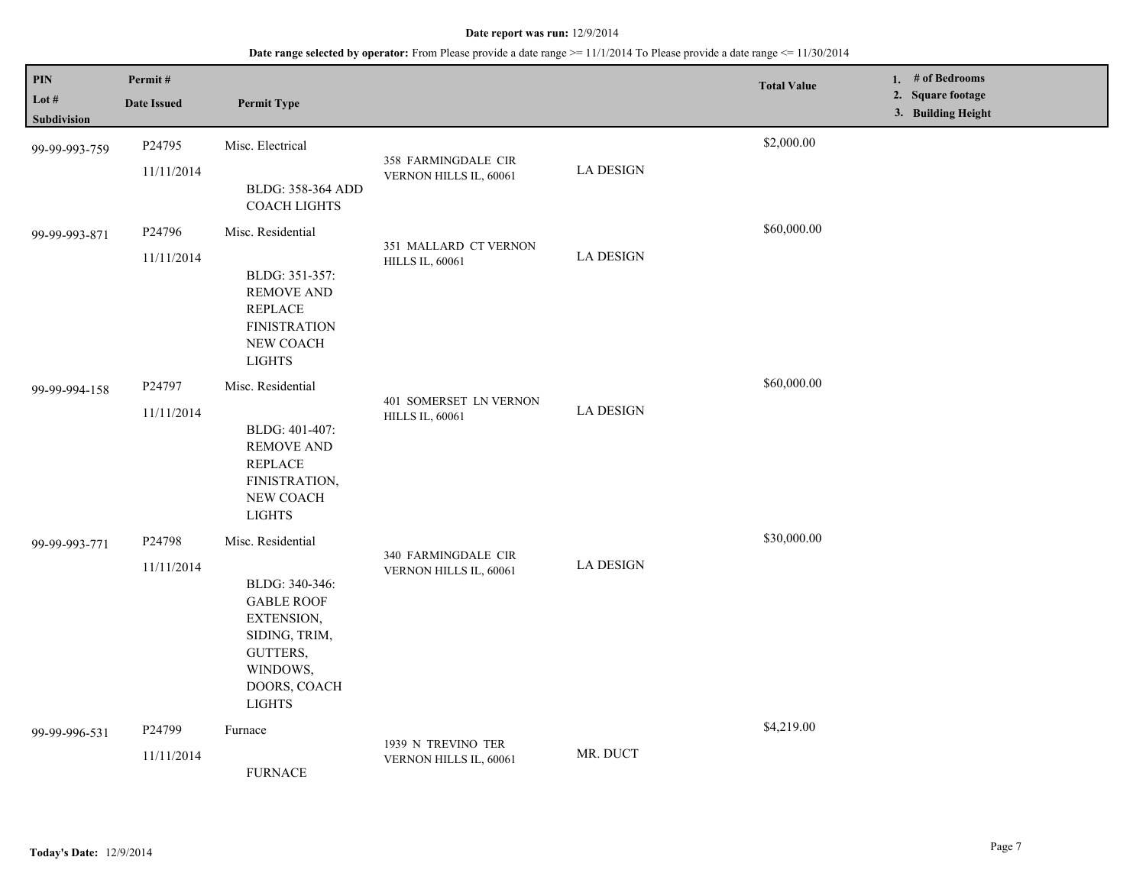| $\mathbf{PIN}$<br>Lot $#$<br>Subdivision | Permit#<br><b>Date Issued</b> | <b>Permit Type</b>                                                                                                                               |                                                  |                  | <b>Total Value</b> | 1. $#$ of Bedrooms<br>2. Square footage<br>3. Building Height |
|------------------------------------------|-------------------------------|--------------------------------------------------------------------------------------------------------------------------------------------------|--------------------------------------------------|------------------|--------------------|---------------------------------------------------------------|
| 99-99-993-759                            | P24795<br>11/11/2014          | Misc. Electrical<br>BLDG: 358-364 ADD<br><b>COACH LIGHTS</b>                                                                                     | 358 FARMINGDALE CIR<br>VERNON HILLS IL, 60061    | <b>LA DESIGN</b> | \$2,000.00         |                                                               |
| 99-99-993-871                            | P24796<br>11/11/2014          | Misc. Residential<br>BLDG: 351-357:<br>REMOVE AND<br><b>REPLACE</b><br><b>FINISTRATION</b><br>NEW COACH<br><b>LIGHTS</b>                         | 351 MALLARD CT VERNON<br><b>HILLS IL, 60061</b>  | <b>LA DESIGN</b> | \$60,000.00        |                                                               |
| 99-99-994-158                            | P24797<br>11/11/2014          | Misc. Residential<br>BLDG: 401-407:<br>REMOVE AND<br><b>REPLACE</b><br>FINISTRATION,<br>NEW COACH<br><b>LIGHTS</b>                               | 401 SOMERSET LN VERNON<br><b>HILLS IL, 60061</b> | <b>LA DESIGN</b> | \$60,000.00        |                                                               |
| 99-99-993-771                            | P24798<br>11/11/2014          | Misc. Residential<br>BLDG: 340-346:<br><b>GABLE ROOF</b><br>EXTENSION,<br>SIDING, TRIM,<br>GUTTERS,<br>WINDOWS,<br>DOORS, COACH<br><b>LIGHTS</b> | 340 FARMINGDALE CIR<br>VERNON HILLS IL, 60061    | <b>LA DESIGN</b> | \$30,000.00        |                                                               |
| 99-99-996-531                            | P24799<br>11/11/2014          | Furnace<br><b>FURNACE</b>                                                                                                                        | 1939 N TREVINO TER<br>VERNON HILLS IL, 60061     | MR. DUCT         | \$4,219.00         |                                                               |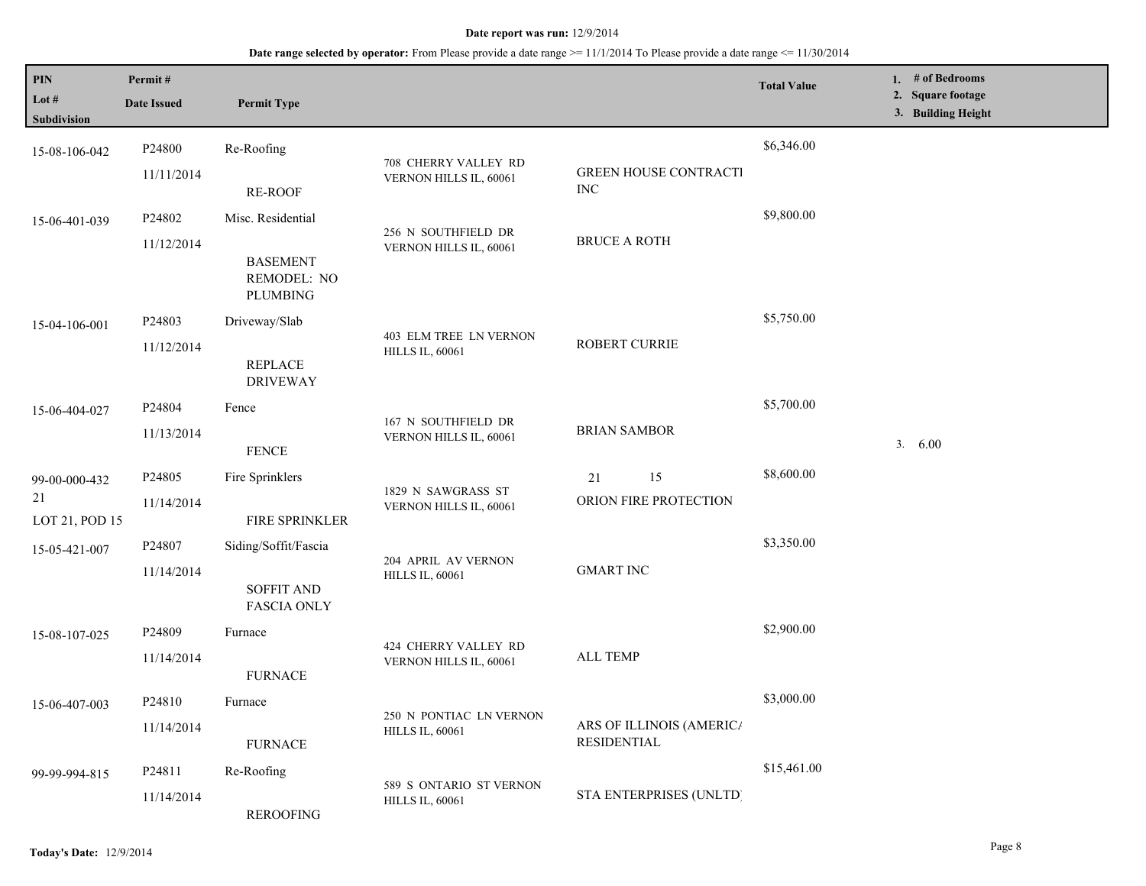| <b>PIN</b><br>Lot $#$<br>Subdivision | Permit#<br><b>Date Issued</b> | <b>Permit Type</b>                                |                                                   |                                                | <b>Total Value</b> | 1. $#$ of Bedrooms<br>2. Square footage<br>3. Building Height |
|--------------------------------------|-------------------------------|---------------------------------------------------|---------------------------------------------------|------------------------------------------------|--------------------|---------------------------------------------------------------|
| 15-08-106-042                        | P24800                        | Re-Roofing                                        |                                                   |                                                | \$6,346.00         |                                                               |
|                                      | 11/11/2014                    | RE-ROOF                                           | 708 CHERRY VALLEY RD<br>VERNON HILLS IL, 60061    | <b>GREEN HOUSE CONTRACTI</b><br><b>INC</b>     |                    |                                                               |
| 15-06-401-039                        | P24802                        | Misc. Residential                                 | 256 N SOUTHFIELD DR                               |                                                | \$9,800.00         |                                                               |
|                                      | 11/12/2014                    | <b>BASEMENT</b><br>REMODEL: NO<br><b>PLUMBING</b> | VERNON HILLS IL, 60061                            | <b>BRUCE A ROTH</b>                            |                    |                                                               |
| 15-04-106-001                        | P24803                        | Driveway/Slab                                     | 403 ELM TREE LN VERNON<br><b>HILLS IL, 60061</b>  |                                                | \$5,750.00         |                                                               |
|                                      | 11/12/2014                    | <b>REPLACE</b><br><b>DRIVEWAY</b>                 |                                                   | <b>ROBERT CURRIE</b>                           |                    |                                                               |
| 15-06-404-027                        | P24804                        | Fence                                             |                                                   |                                                | \$5,700.00         |                                                               |
|                                      | 11/13/2014                    | <b>FENCE</b>                                      | 167 N SOUTHFIELD DR<br>VERNON HILLS IL, 60061     | <b>BRIAN SAMBOR</b>                            |                    | 3. 6.00                                                       |
| 99-00-000-432                        | P24805                        | Fire Sprinklers                                   |                                                   | 15<br>21                                       | \$8,600.00         |                                                               |
| 21<br>LOT 21, POD 15                 | 11/14/2014                    | FIRE SPRINKLER                                    | 1829 N SAWGRASS ST<br>VERNON HILLS IL, 60061      | ORION FIRE PROTECTION                          |                    |                                                               |
| 15-05-421-007                        | P <sub>24807</sub>            | Siding/Soffit/Fascia                              | 204 APRIL AV VERNON                               |                                                | \$3,350.00         |                                                               |
|                                      | 11/14/2014                    | <b>SOFFIT AND</b><br><b>FASCIA ONLY</b>           | <b>HILLS IL, 60061</b>                            | <b>GMART INC</b>                               |                    |                                                               |
| 15-08-107-025                        | P <sub>24809</sub>            | Furnace                                           |                                                   |                                                | \$2,900.00         |                                                               |
|                                      | 11/14/2014                    | <b>FURNACE</b>                                    | 424 CHERRY VALLEY RD<br>VERNON HILLS IL, 60061    | <b>ALL TEMP</b>                                |                    |                                                               |
| 15-06-407-003                        | P24810                        | Furnace                                           | 250 N PONTIAC LN VERNON                           |                                                | \$3,000.00         |                                                               |
|                                      | 11/14/2014                    | <b>FURNACE</b>                                    | <b>HILLS IL, 60061</b>                            | ARS OF ILLINOIS (AMERIC/<br><b>RESIDENTIAL</b> |                    |                                                               |
| 99-99-994-815                        | P <sub>24811</sub>            | Re-Roofing                                        |                                                   | STA ENTERPRISES (UNLTD)                        | \$15,461.00        |                                                               |
|                                      | 11/14/2014                    | REROOFING                                         | 589 S ONTARIO ST VERNON<br><b>HILLS IL, 60061</b> |                                                |                    |                                                               |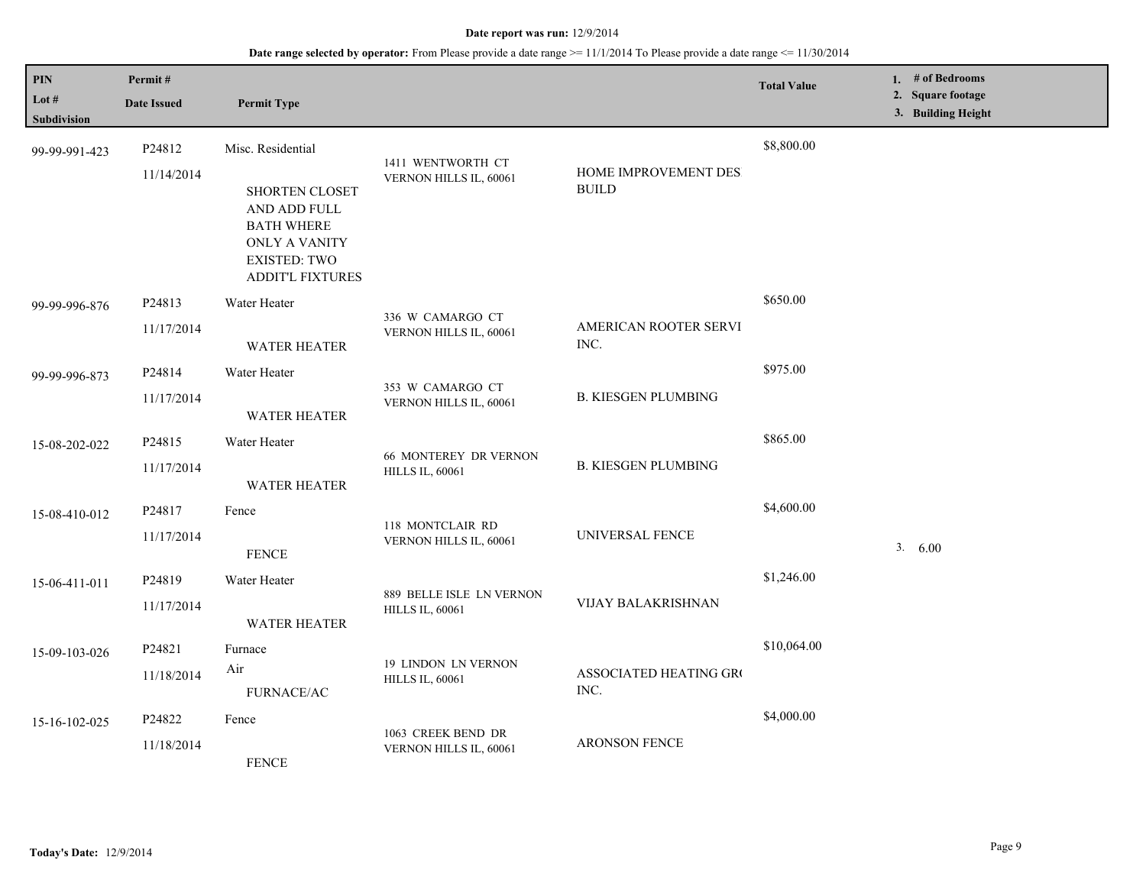| <b>PIN</b><br>Lot $#$ | Permit#<br><b>Date Issued</b> | <b>Permit Type</b>                                                                                                     |                                                        |                                                | <b>Total Value</b> | 1. # of Bedrooms<br>2. Square footage<br>3. Building Height |
|-----------------------|-------------------------------|------------------------------------------------------------------------------------------------------------------------|--------------------------------------------------------|------------------------------------------------|--------------------|-------------------------------------------------------------|
| Subdivision           |                               |                                                                                                                        |                                                        |                                                |                    |                                                             |
| 99-99-991-423         | P24812                        | Misc. Residential                                                                                                      | 1411 WENTWORTH CT                                      |                                                | \$8,800.00         |                                                             |
|                       | 11/14/2014                    | SHORTEN CLOSET<br>AND ADD FULL<br><b>BATH WHERE</b><br>ONLY A VANITY<br><b>EXISTED: TWO</b><br><b>ADDIT'L FIXTURES</b> | VERNON HILLS IL, 60061                                 | HOME IMPROVEMENT DES.<br>$\operatorname{BULD}$ |                    |                                                             |
| 99-99-996-876         | P24813                        | Water Heater                                                                                                           |                                                        |                                                | \$650.00           |                                                             |
|                       | 11/17/2014                    | <b>WATER HEATER</b>                                                                                                    | 336 W CAMARGO CT<br>VERNON HILLS IL, 60061             | AMERICAN ROOTER SERVI<br>INC.                  |                    |                                                             |
| 99-99-996-873         | P24814                        | Water Heater                                                                                                           |                                                        |                                                | \$975.00           |                                                             |
|                       | 11/17/2014                    | <b>WATER HEATER</b>                                                                                                    | 353 W CAMARGO CT<br>VERNON HILLS IL, 60061             | <b>B. KIESGEN PLUMBING</b>                     |                    |                                                             |
| 15-08-202-022         | P24815                        | Water Heater                                                                                                           |                                                        |                                                | \$865.00           |                                                             |
|                       | 11/17/2014                    | <b>WATER HEATER</b>                                                                                                    | <b>66 MONTEREY DR VERNON</b><br><b>HILLS IL, 60061</b> | <b>B. KIESGEN PLUMBING</b>                     |                    |                                                             |
| 15-08-410-012         | P24817                        | Fence                                                                                                                  |                                                        |                                                | \$4,600.00         |                                                             |
|                       | 11/17/2014                    | <b>FENCE</b>                                                                                                           | 118 MONTCLAIR RD<br>VERNON HILLS IL, 60061             | UNIVERSAL FENCE                                |                    | 3.600                                                       |
| 15-06-411-011         | P <sub>24819</sub>            | Water Heater                                                                                                           |                                                        |                                                | \$1,246.00         |                                                             |
|                       | 11/17/2014                    | <b>WATER HEATER</b>                                                                                                    | 889 BELLE ISLE LN VERNON<br><b>HILLS IL, 60061</b>     | VIJAY BALAKRISHNAN                             |                    |                                                             |
| 15-09-103-026         | P24821                        | Furnace                                                                                                                |                                                        |                                                | \$10,064.00        |                                                             |
|                       | 11/18/2014                    | Air<br>FURNACE/AC                                                                                                      | <b>19 LINDON LN VERNON</b><br><b>HILLS IL, 60061</b>   | ASSOCIATED HEATING GRO<br>INC.                 |                    |                                                             |
|                       | P24822                        | Fence                                                                                                                  |                                                        |                                                | \$4,000.00         |                                                             |
| 15-16-102-025         | 11/18/2014                    | <b>FENCE</b>                                                                                                           | 1063 CREEK BEND DR<br>VERNON HILLS IL, 60061           | <b>ARONSON FENCE</b>                           |                    |                                                             |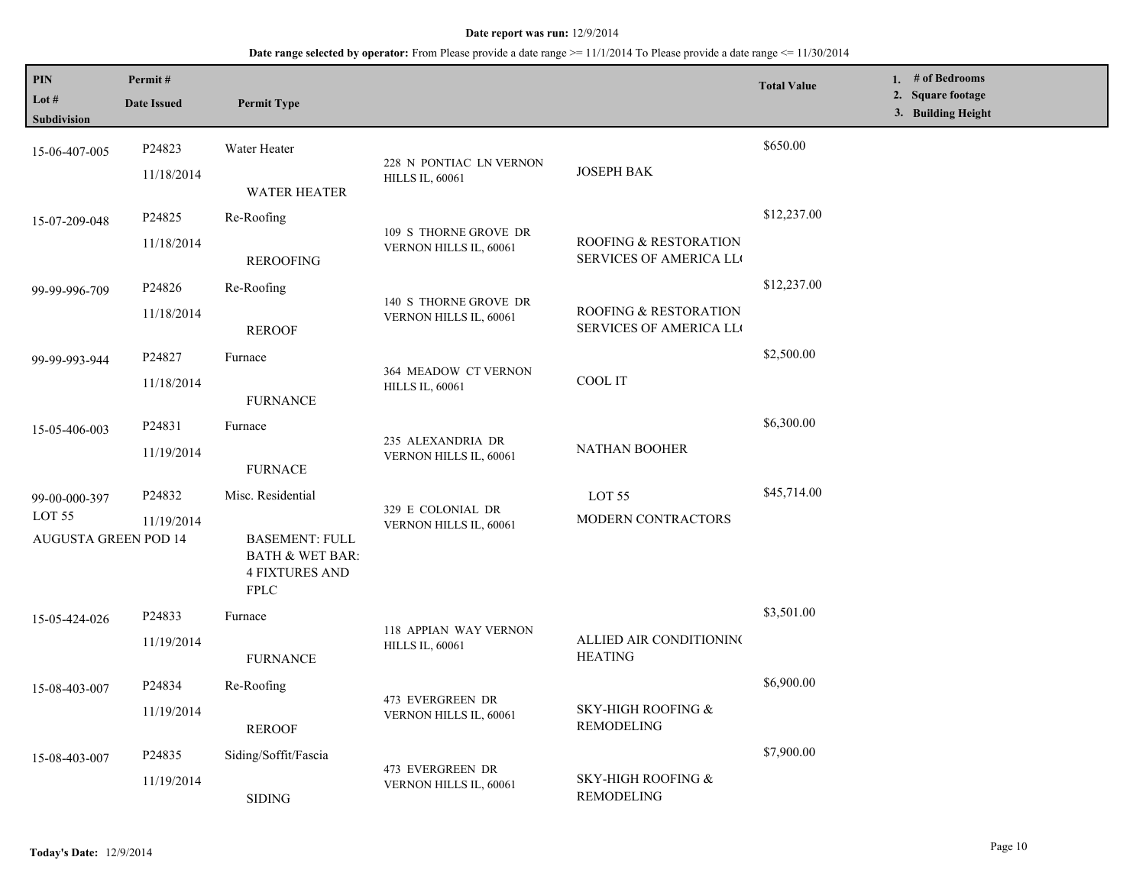| PIN<br>Lot #<br>Subdivision                      | Permit#<br><b>Date Issued</b> | <b>Permit Type</b>                                                                          |                                            |                                                                    | <b>Total Value</b> | 1. # of Bedrooms<br>2. Square footage<br>3. Building Height |
|--------------------------------------------------|-------------------------------|---------------------------------------------------------------------------------------------|--------------------------------------------|--------------------------------------------------------------------|--------------------|-------------------------------------------------------------|
| 15-06-407-005                                    | P24823                        | Water Heater                                                                                | 228 N PONTIAC LN VERNON                    |                                                                    | \$650.00           |                                                             |
|                                                  | 11/18/2014                    | <b>WATER HEATER</b>                                                                         | <b>HILLS IL, 60061</b>                     | <b>JOSEPH BAK</b>                                                  |                    |                                                             |
| 15-07-209-048                                    | P24825                        | Re-Roofing                                                                                  | 109 S THORNE GROVE DR                      |                                                                    | \$12,237.00        |                                                             |
|                                                  | 11/18/2014                    | <b>REROOFING</b>                                                                            | VERNON HILLS IL, 60061                     | <b>ROOFING &amp; RESTORATION</b><br><b>SERVICES OF AMERICA LLO</b> |                    |                                                             |
| 99-99-996-709                                    | P24826                        | Re-Roofing                                                                                  | 140 S THORNE GROVE DR                      |                                                                    | \$12,237.00        |                                                             |
|                                                  | 11/18/2014                    | <b>REROOF</b>                                                                               | VERNON HILLS IL, 60061                     | ROOFING & RESTORATION<br>SERVICES OF AMERICA LL                    |                    |                                                             |
| 99-99-993-944                                    | P24827                        | Furnace                                                                                     | 364 MEADOW CT VERNON                       |                                                                    | \$2,500.00         |                                                             |
|                                                  | 11/18/2014                    | <b>FURNANCE</b>                                                                             | <b>HILLS IL, 60061</b>                     | COOL IT                                                            |                    |                                                             |
| 15-05-406-003                                    | P24831                        | Furnace                                                                                     | 235 ALEXANDRIA DR                          |                                                                    | \$6,300.00         |                                                             |
|                                                  | 11/19/2014                    | <b>FURNACE</b>                                                                              | VERNON HILLS IL, 60061                     | <b>NATHAN BOOHER</b>                                               |                    |                                                             |
| 99-00-000-397                                    | P24832                        | Misc. Residential                                                                           | 329 E COLONIAL DR                          | LOT 55                                                             | \$45,714.00        |                                                             |
| LOT <sub>55</sub><br><b>AUGUSTA GREEN POD 14</b> | 11/19/2014                    | <b>BASEMENT: FULL</b><br><b>BATH &amp; WET BAR:</b><br><b>4 FIXTURES AND</b><br><b>FPLC</b> | VERNON HILLS IL, 60061                     | <b>MODERN CONTRACTORS</b>                                          |                    |                                                             |
| 15-05-424-026                                    | P24833                        | Furnace                                                                                     | 118 APPIAN WAY VERNON                      |                                                                    | \$3,501.00         |                                                             |
|                                                  | 11/19/2014                    | <b>FURNANCE</b>                                                                             | <b>HILLS IL, 60061</b>                     | ALLIED AIR CONDITIONING<br><b>HEATING</b>                          |                    |                                                             |
| 15-08-403-007                                    | P24834                        | Re-Roofing                                                                                  |                                            |                                                                    | \$6,900.00         |                                                             |
|                                                  | 11/19/2014                    | <b>REROOF</b>                                                                               | 473 EVERGREEN DR<br>VERNON HILLS IL, 60061 | SKY-HIGH ROOFING &<br><b>REMODELING</b>                            |                    |                                                             |
| 15-08-403-007                                    | P24835                        | Siding/Soffit/Fascia                                                                        |                                            |                                                                    | \$7,900.00         |                                                             |
|                                                  | 11/19/2014                    | <b>SIDING</b>                                                                               | 473 EVERGREEN DR<br>VERNON HILLS IL, 60061 | <b>SKY-HIGH ROOFING &amp;</b><br><b>REMODELING</b>                 |                    |                                                             |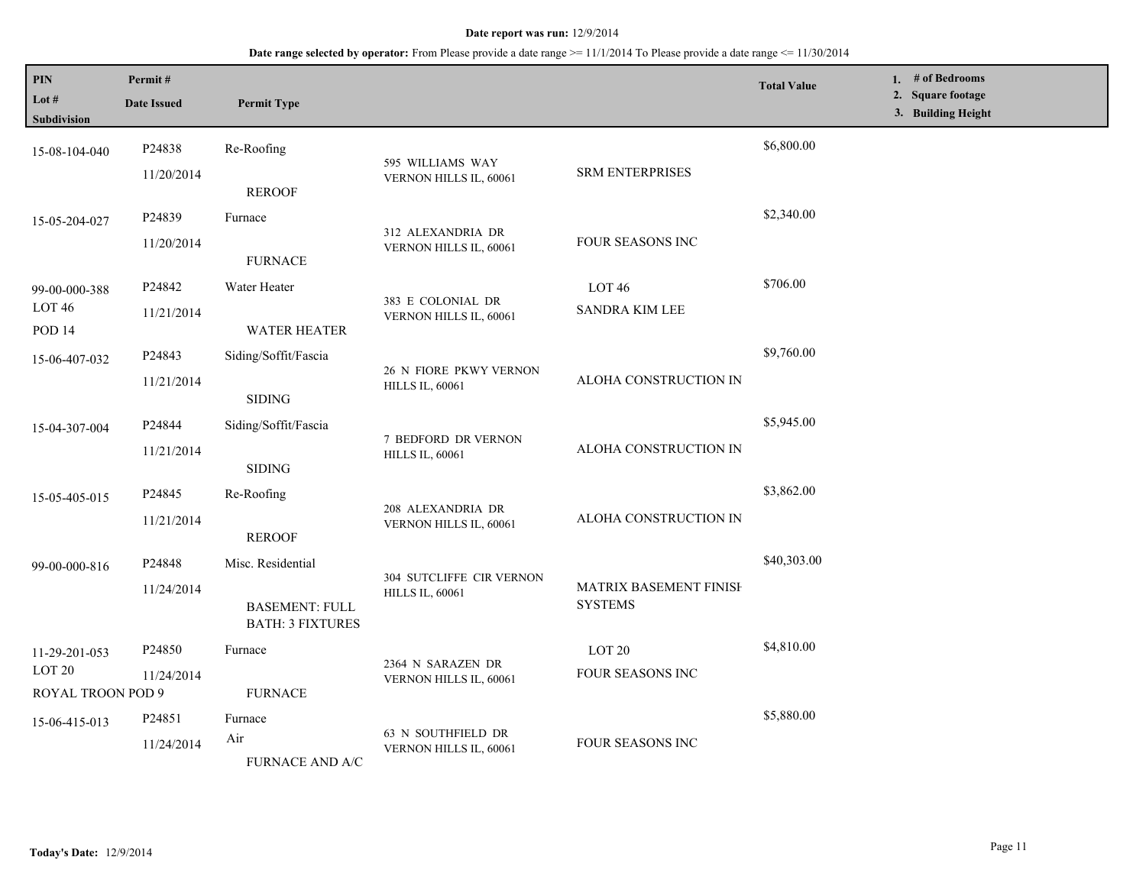| PIN<br>Lot #<br><b>Subdivision</b>                      | Permit#<br><b>Date Issued</b>    | <b>Permit Type</b>                                                    |                                                    |                                            | <b>Total Value</b> | 1. # of Bedrooms<br>2. Square footage<br>3. Building Height |
|---------------------------------------------------------|----------------------------------|-----------------------------------------------------------------------|----------------------------------------------------|--------------------------------------------|--------------------|-------------------------------------------------------------|
| 15-08-104-040                                           | P24838<br>11/20/2014             | Re-Roofing                                                            | 595 WILLIAMS WAY<br>VERNON HILLS IL, 60061         | <b>SRM ENTERPRISES</b>                     | \$6,800.00         |                                                             |
| 15-05-204-027                                           | P24839<br>11/20/2014             | <b>REROOF</b><br>Furnace                                              | 312 ALEXANDRIA DR<br>VERNON HILLS IL, 60061        | FOUR SEASONS INC                           | \$2,340.00         |                                                             |
| 99-00-000-388<br>LOT <sub>46</sub><br>POD <sub>14</sub> | P24842<br>11/21/2014             | <b>FURNACE</b><br>Water Heater<br><b>WATER HEATER</b>                 | 383 E COLONIAL DR<br>VERNON HILLS IL, 60061        | LOT <sub>46</sub><br><b>SANDRA KIM LEE</b> | \$706.00           |                                                             |
| 15-06-407-032                                           | P24843<br>11/21/2014             | Siding/Soffit/Fascia<br>$\operatorname{SIDING}$                       | 26 N FIORE PKWY VERNON<br><b>HILLS IL, 60061</b>   | ALOHA CONSTRUCTION IN                      | \$9,760.00         |                                                             |
| 15-04-307-004                                           | P24844<br>11/21/2014             | Siding/Soffit/Fascia<br><b>SIDING</b>                                 | 7 BEDFORD DR VERNON<br><b>HILLS IL, 60061</b>      | ALOHA CONSTRUCTION IN                      | \$5,945.00         |                                                             |
| 15-05-405-015                                           | P24845<br>11/21/2014             | Re-Roofing<br><b>REROOF</b>                                           | 208 ALEXANDRIA DR<br>VERNON HILLS IL, 60061        | ALOHA CONSTRUCTION IN                      | \$3,862.00         |                                                             |
| 99-00-000-816                                           | P24848<br>11/24/2014             | Misc. Residential<br><b>BASEMENT: FULL</b><br><b>BATH: 3 FIXTURES</b> | 304 SUTCLIFFE CIR VERNON<br><b>HILLS IL, 60061</b> | MATRIX BASEMENT FINISH<br><b>SYSTEMS</b>   | \$40,303.00        |                                                             |
| 11-29-201-053<br>LOT <sub>20</sub><br>ROYAL TROON POD 9 | P24850<br>11/24/2014             | Furnace<br><b>FURNACE</b>                                             | 2364 N SARAZEN DR<br>VERNON HILLS IL, 60061        | LOT <sub>20</sub><br>FOUR SEASONS INC      | \$4,810.00         |                                                             |
| 15-06-415-013                                           | P <sub>24851</sub><br>11/24/2014 | Furnace<br>Air<br><b>FURNACE AND A/C</b>                              | 63 N SOUTHFIELD DR<br>VERNON HILLS IL, 60061       | FOUR SEASONS INC                           | \$5,880.00         |                                                             |